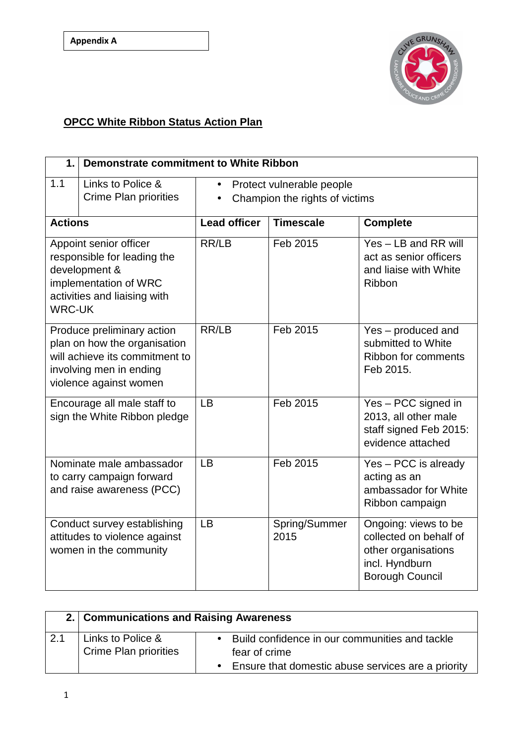

## **OPCC White Ribbon Status Action Plan**

| 1.                                                                                                                                                | <b>Demonstrate commitment to White Ribbon</b>                                          |                                                             |                       |                                                                                                                   |
|---------------------------------------------------------------------------------------------------------------------------------------------------|----------------------------------------------------------------------------------------|-------------------------------------------------------------|-----------------------|-------------------------------------------------------------------------------------------------------------------|
| 1.1                                                                                                                                               | Links to Police &<br><b>Crime Plan priorities</b>                                      | Protect vulnerable people<br>Champion the rights of victims |                       |                                                                                                                   |
| <b>Actions</b>                                                                                                                                    |                                                                                        | <b>Lead officer</b>                                         | <b>Timescale</b>      | <b>Complete</b>                                                                                                   |
| Appoint senior officer<br>responsible for leading the<br>development &<br>implementation of WRC<br>activities and liaising with<br><b>WRC-UK</b>  |                                                                                        | RR/LB                                                       | Feb 2015              | Yes - LB and RR will<br>act as senior officers<br>and liaise with White<br>Ribbon                                 |
| Produce preliminary action<br>plan on how the organisation<br>will achieve its commitment to<br>involving men in ending<br>violence against women |                                                                                        | RR/LB                                                       | Feb 2015              | Yes - produced and<br>submitted to White<br>Ribbon for comments<br>Feb 2015.                                      |
| Encourage all male staff to<br>sign the White Ribbon pledge                                                                                       |                                                                                        | <b>LB</b>                                                   | Feb 2015              | Yes - PCC signed in<br>2013, all other male<br>staff signed Feb 2015:<br>evidence attached                        |
|                                                                                                                                                   | Nominate male ambassador<br>to carry campaign forward<br>and raise awareness (PCC)     | <b>LB</b>                                                   | Feb 2015              | Yes - PCC is already<br>acting as an<br>ambassador for White<br>Ribbon campaign                                   |
|                                                                                                                                                   | Conduct survey establishing<br>attitudes to violence against<br>women in the community | <b>LB</b>                                                   | Spring/Summer<br>2015 | Ongoing: views to be<br>collected on behalf of<br>other organisations<br>incl. Hyndburn<br><b>Borough Council</b> |

|     |                                                   | 2. Communications and Raising Awareness                                                                                              |  |  |  |  |
|-----|---------------------------------------------------|--------------------------------------------------------------------------------------------------------------------------------------|--|--|--|--|
| 2.1 | Links to Police &<br><b>Crime Plan priorities</b> | • Build confidence in our communities and tackle<br>fear of crime<br>Ensure that domestic abuse services are a priority<br>$\bullet$ |  |  |  |  |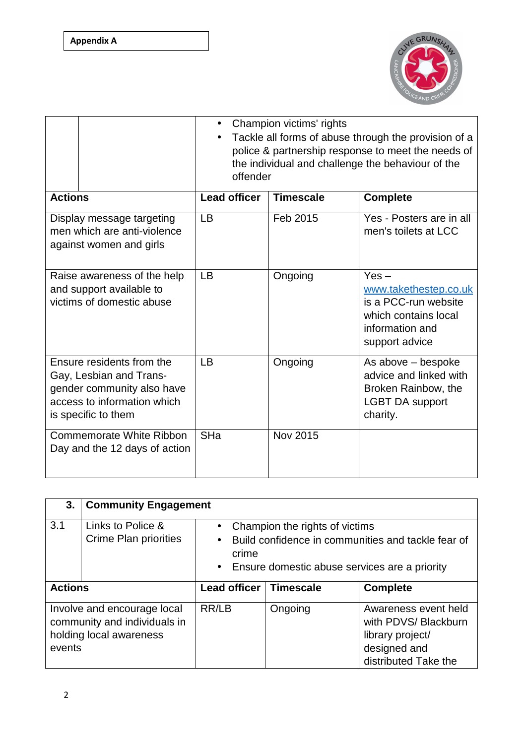**Appendix A**



|                                                                                                                                          | Champion victims' rights<br>Tackle all forms of abuse through the provision of a<br>police & partnership response to meet the needs of<br>the individual and challenge the behaviour of the<br>offender |                  |                                                                                                                       |
|------------------------------------------------------------------------------------------------------------------------------------------|---------------------------------------------------------------------------------------------------------------------------------------------------------------------------------------------------------|------------------|-----------------------------------------------------------------------------------------------------------------------|
| <b>Actions</b>                                                                                                                           | <b>Lead officer</b>                                                                                                                                                                                     | <b>Timescale</b> | <b>Complete</b>                                                                                                       |
| Display message targeting<br>men which are anti-violence<br>against women and girls                                                      | <b>LB</b>                                                                                                                                                                                               | Feb 2015         | Yes - Posters are in all<br>men's toilets at LCC                                                                      |
| Raise awareness of the help<br>and support available to<br>victims of domestic abuse                                                     | LB                                                                                                                                                                                                      | Ongoing          | $Yes -$<br>www.takethestep.co.uk<br>is a PCC-run website<br>which contains local<br>information and<br>support advice |
| Ensure residents from the<br>Gay, Lesbian and Trans-<br>gender community also have<br>access to information which<br>is specific to them | LB                                                                                                                                                                                                      | Ongoing          | As above – bespoke<br>advice and linked with<br>Broken Rainbow, the<br><b>LGBT DA support</b><br>charity.             |
| <b>Commemorate White Ribbon</b><br>Day and the 12 days of action                                                                         | SHa                                                                                                                                                                                                     | <b>Nov 2015</b>  |                                                                                                                       |

| 3.                                                                                               | <b>Community Engagement</b>                       |                                                                                                                                                                                       |         |                                                                                                          |
|--------------------------------------------------------------------------------------------------|---------------------------------------------------|---------------------------------------------------------------------------------------------------------------------------------------------------------------------------------------|---------|----------------------------------------------------------------------------------------------------------|
| 3.1                                                                                              | Links to Police &<br><b>Crime Plan priorities</b> | Champion the rights of victims<br>$\bullet$<br>Build confidence in communities and tackle fear of<br>$\bullet$<br>crime<br>Ensure domestic abuse services are a priority<br>$\bullet$ |         |                                                                                                          |
| <b>Actions</b>                                                                                   |                                                   | Lead officer   Timescale                                                                                                                                                              |         | <b>Complete</b>                                                                                          |
| Involve and encourage local<br>community and individuals in<br>holding local awareness<br>events |                                                   | RR/LB                                                                                                                                                                                 | Ongoing | Awareness event held<br>with PDVS/ Blackburn<br>library project/<br>designed and<br>distributed Take the |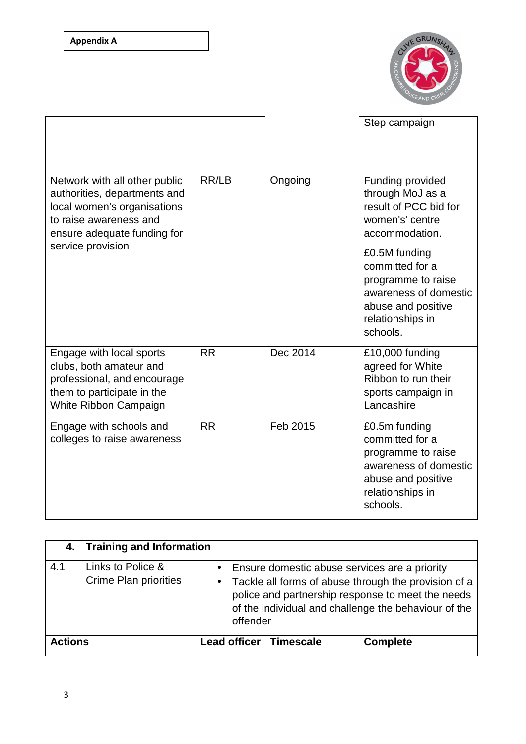

|                                                                                                                                                       |           |          | Step campaign                                                                                                                         |
|-------------------------------------------------------------------------------------------------------------------------------------------------------|-----------|----------|---------------------------------------------------------------------------------------------------------------------------------------|
| Network with all other public<br>authorities, departments and<br>local women's organisations<br>to raise awareness and<br>ensure adequate funding for | RR/LB     | Ongoing  | Funding provided<br>through MoJ as a<br>result of PCC bid for<br>women's' centre<br>accommodation.                                    |
| service provision                                                                                                                                     |           |          | £0.5M funding<br>committed for a<br>programme to raise<br>awareness of domestic<br>abuse and positive<br>relationships in<br>schools. |
| Engage with local sports<br>clubs, both amateur and<br>professional, and encourage<br>them to participate in the<br>White Ribbon Campaign             | <b>RR</b> | Dec 2014 | £10,000 funding<br>agreed for White<br>Ribbon to run their<br>sports campaign in<br>Lancashire                                        |
| Engage with schools and<br>colleges to raise awareness                                                                                                | <b>RR</b> | Feb 2015 | £0.5m funding<br>committed for a<br>programme to raise<br>awareness of domestic<br>abuse and positive<br>relationships in<br>schools. |

| 4. I           | <b>Training and Information</b>                   |                                                                                                                                                                                                                                                          |                  |                 |  |
|----------------|---------------------------------------------------|----------------------------------------------------------------------------------------------------------------------------------------------------------------------------------------------------------------------------------------------------------|------------------|-----------------|--|
| 4.1            | Links to Police &<br><b>Crime Plan priorities</b> | Ensure domestic abuse services are a priority<br>$\bullet$<br>Tackle all forms of abuse through the provision of a<br>$\bullet$<br>police and partnership response to meet the needs<br>of the individual and challenge the behaviour of the<br>offender |                  |                 |  |
| <b>Actions</b> |                                                   | Lead officer                                                                                                                                                                                                                                             | <b>Timescale</b> | <b>Complete</b> |  |